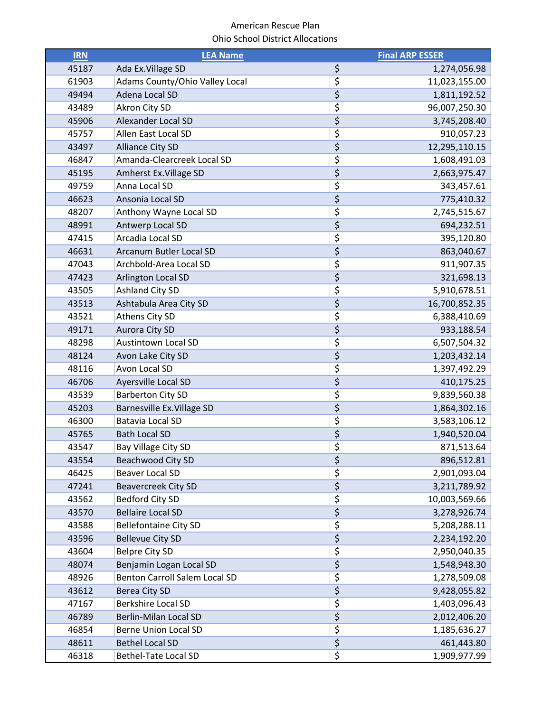| <b>IRN</b> | <b>LEA Name</b>                |                                 | <b>Final ARP ESSER</b> |
|------------|--------------------------------|---------------------------------|------------------------|
| 45187      | Ada Ex. Village SD             | \$                              | 1,274,056.98           |
| 61903      | Adams County/Ohio Valley Local | \$                              | 11,023,155.00          |
| 49494      | Adena Local SD                 | \$                              | 1,811,192.52           |
| 43489      | Akron City SD                  | \$                              | 96,007,250.30          |
| 45906      | Alexander Local SD             | \$                              | 3,745,208.40           |
| 45757      | Allen East Local SD            | \$                              | 910,057.23             |
| 43497      | <b>Alliance City SD</b>        | \$                              | 12,295,110.15          |
| 46847      | Amanda-Clearcreek Local SD     | \$                              | 1,608,491.03           |
| 45195      | Amherst Ex. Village SD         | \$                              | 2,663,975.47           |
| 49759      | Anna Local SD                  | \$                              | 343,457.61             |
| 46623      | Ansonia Local SD               | \$                              | 775,410.32             |
| 48207      | Anthony Wayne Local SD         | \$                              | 2,745,515.67           |
| 48991      | Antwerp Local SD               | \$                              | 694,232.51             |
| 47415      | Arcadia Local SD               | \$                              | 395,120.80             |
| 46631      | Arcanum Butler Local SD        | \$                              | 863,040.67             |
| 47043      | Archbold-Area Local SD         | \$                              | 911,907.35             |
| 47423      | Arlington Local SD             | \$                              | 321,698.13             |
| 43505      | <b>Ashland City SD</b>         | \$                              | 5,910,678.51           |
| 43513      | Ashtabula Area City SD         | \$                              | 16,700,852.35          |
| 43521      | Athens City SD                 | \$                              | 6,388,410.69           |
| 49171      | Aurora City SD                 | \$                              | 933,188.54             |
| 48298      | <b>Austintown Local SD</b>     | \$                              | 6,507,504.32           |
| 48124      | Avon Lake City SD              | \$                              | 1,203,432.14           |
| 48116      | Avon Local SD                  | \$                              | 1,397,492.29           |
| 46706      | Ayersville Local SD            | \$                              | 410,175.25             |
| 43539      | <b>Barberton City SD</b>       | \$                              | 9,839,560.38           |
| 45203      | Barnesville Ex. Village SD     | \$                              | 1,864,302.16           |
| 46300      | Batavia Local SD               | \$                              | 3,583,106.12           |
| 45765      | <b>Bath Local SD</b>           | \$                              | 1,940,520.04           |
| 43547      | Bay Village City SD            | \$                              | 871,513.64             |
| 43554      | Beachwood City SD              | \$                              | 896,512.81             |
| 46425      | <b>Beaver Local SD</b>         | \$                              | 2,901,093.04           |
| 47241      | <b>Beavercreek City SD</b>     | \$                              | 3,211,789.92           |
| 43562      | <b>Bedford City SD</b>         | \$                              | 10,003,569.66          |
| 43570      | <b>Bellaire Local SD</b>       | $\overline{\boldsymbol{\zeta}}$ | 3,278,926.74           |
| 43588      | <b>Bellefontaine City SD</b>   | \$                              | 5,208,288.11           |
| 43596      | <b>Bellevue City SD</b>        | $\overline{\boldsymbol{\zeta}}$ | 2,234,192.20           |
| 43604      | <b>Belpre City SD</b>          | \$                              | 2,950,040.35           |
| 48074      | Benjamin Logan Local SD        | \$                              | 1,548,948.30           |
| 48926      | Benton Carroll Salem Local SD  | \$                              | 1,278,509.08           |
| 43612      | <b>Berea City SD</b>           | $\overline{\boldsymbol{\zeta}}$ | 9,428,055.82           |
| 47167      | <b>Berkshire Local SD</b>      | \$                              | 1,403,096.43           |
| 46789      | <b>Berlin-Milan Local SD</b>   | \$                              | 2,012,406.20           |
| 46854      | <b>Berne Union Local SD</b>    | \$                              | 1,185,636.27           |
| 48611      | <b>Bethel Local SD</b>         | \$                              | 461,443.80             |
| 46318      | Bethel-Tate Local SD           | \$                              | 1,909,977.99           |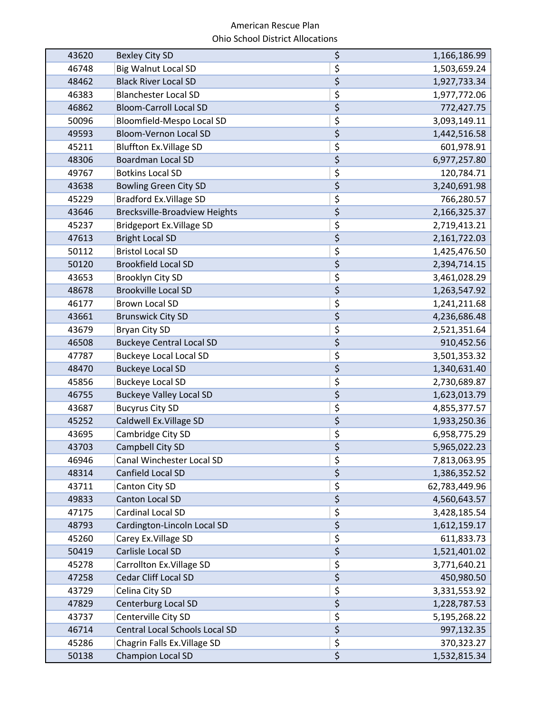| 43620 | <b>Bexley City SD</b>                | \$                             | 1,166,186.99  |
|-------|--------------------------------------|--------------------------------|---------------|
| 46748 | <b>Big Walnut Local SD</b>           | \$                             | 1,503,659.24  |
| 48462 | <b>Black River Local SD</b>          | \$                             | 1,927,733.34  |
| 46383 | <b>Blanchester Local SD</b>          | \$                             | 1,977,772.06  |
| 46862 | <b>Bloom-Carroll Local SD</b>        | \$                             | 772,427.75    |
| 50096 | Bloomfield-Mespo Local SD            | \$                             | 3,093,149.11  |
| 49593 | <b>Bloom-Vernon Local SD</b>         | $\overline{\xi}$               | 1,442,516.58  |
| 45211 | <b>Bluffton Ex. Village SD</b>       | \$                             | 601,978.91    |
| 48306 | <b>Boardman Local SD</b>             | $\overline{\xi}$               | 6,977,257.80  |
| 49767 | <b>Botkins Local SD</b>              | \$                             | 120,784.71    |
| 43638 | <b>Bowling Green City SD</b>         | \$                             | 3,240,691.98  |
| 45229 | <b>Bradford Ex. Village SD</b>       | \$                             | 766,280.57    |
| 43646 | <b>Brecksville-Broadview Heights</b> | \$                             | 2,166,325.37  |
| 45237 | Bridgeport Ex. Village SD            | \$                             | 2,719,413.21  |
| 47613 | <b>Bright Local SD</b>               | \$                             | 2,161,722.03  |
| 50112 | <b>Bristol Local SD</b>              | \$                             | 1,425,476.50  |
| 50120 | <b>Brookfield Local SD</b>           | \$                             | 2,394,714.15  |
| 43653 | Brooklyn City SD                     | \$                             | 3,461,028.29  |
| 48678 | <b>Brookville Local SD</b>           | $\overline{\xi}$               | 1,263,547.92  |
| 46177 | <b>Brown Local SD</b>                | \$                             | 1,241,211.68  |
| 43661 | <b>Brunswick City SD</b>             | $\overline{\xi}$               | 4,236,686.48  |
| 43679 | Bryan City SD                        | \$                             | 2,521,351.64  |
| 46508 | <b>Buckeye Central Local SD</b>      | \$                             | 910,452.56    |
| 47787 | <b>Buckeye Local Local SD</b>        | \$                             | 3,501,353.32  |
| 48470 | <b>Buckeye Local SD</b>              | \$                             | 1,340,631.40  |
| 45856 | <b>Buckeye Local SD</b>              | \$                             | 2,730,689.87  |
| 46755 | <b>Buckeye Valley Local SD</b>       | $\overline{\xi}$               | 1,623,013.79  |
| 43687 | <b>Bucyrus City SD</b>               | \$                             | 4,855,377.57  |
| 45252 | Caldwell Ex. Village SD              | \$                             | 1,933,250.36  |
| 43695 | Cambridge City SD                    | \$                             | 6,958,775.29  |
| 43703 | Campbell City SD                     | \$                             | 5,965,022.23  |
| 46946 | Canal Winchester Local SD            | \$                             | 7,813,063.95  |
| 48314 | Canfield Local SD                    | $\overline{\xi}$               | 1,386,352.52  |
| 43711 | Canton City SD                       | \$                             | 62,783,449.96 |
| 49833 | Canton Local SD                      | $\overline{\xi}$               | 4,560,643.57  |
| 47175 | Cardinal Local SD                    | \$                             | 3,428,185.54  |
| 48793 | Cardington-Lincoln Local SD          | $\boldsymbol{\dot{\varsigma}}$ | 1,612,159.17  |
| 45260 | Carey Ex. Village SD                 | \$                             | 611,833.73    |
| 50419 | Carlisle Local SD                    | $\overline{\xi}$               | 1,521,401.02  |
| 45278 | Carrollton Ex. Village SD            | $\overline{\xi}$               | 3,771,640.21  |
| 47258 | Cedar Cliff Local SD                 | $\overline{\xi}$               | 450,980.50    |
| 43729 | Celina City SD                       | \$                             | 3,331,553.92  |
| 47829 | Centerburg Local SD                  | \$                             | 1,228,787.53  |
| 43737 | Centerville City SD                  | \$                             | 5,195,268.22  |
| 46714 | Central Local Schools Local SD       | $\overline{\xi}$               | 997,132.35    |
| 45286 | Chagrin Falls Ex. Village SD         | \$                             | 370,323.27    |
| 50138 | <b>Champion Local SD</b>             | $\overline{\xi}$               | 1,532,815.34  |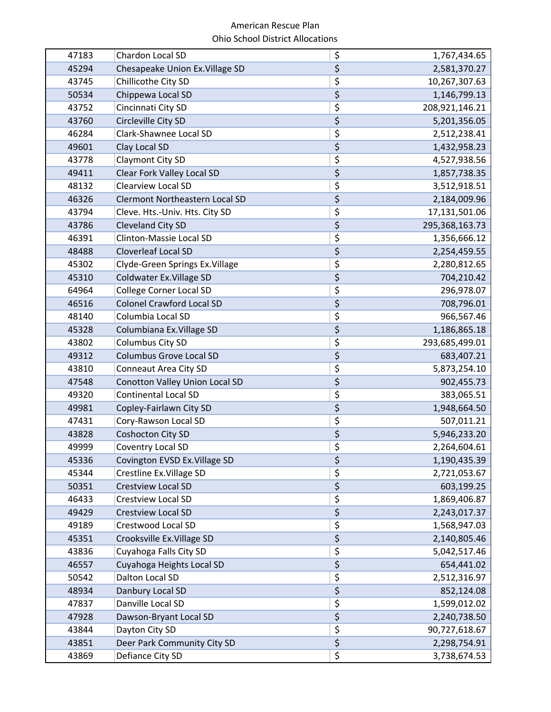| 47183 | Chardon Local SD                      | \$                     | 1,767,434.65   |
|-------|---------------------------------------|------------------------|----------------|
| 45294 | Chesapeake Union Ex. Village SD       | \$                     | 2,581,370.27   |
| 43745 | Chillicothe City SD                   | \$                     | 10,267,307.63  |
| 50534 | Chippewa Local SD                     | \$                     | 1,146,799.13   |
| 43752 | Cincinnati City SD                    | \$                     | 208,921,146.21 |
| 43760 | Circleville City SD                   | $\overline{\xi}$       | 5,201,356.05   |
| 46284 | Clark-Shawnee Local SD                | \$                     | 2,512,238.41   |
| 49601 | Clay Local SD                         | $\overline{\xi}$       | 1,432,958.23   |
| 43778 | Claymont City SD                      | \$                     | 4,527,938.56   |
| 49411 | <b>Clear Fork Valley Local SD</b>     | \$                     | 1,857,738.35   |
| 48132 | <b>Clearview Local SD</b>             | \$                     | 3,512,918.51   |
| 46326 | <b>Clermont Northeastern Local SD</b> | \$                     | 2,184,009.96   |
| 43794 | Cleve. Hts.-Univ. Hts. City SD        | \$                     | 17,131,501.06  |
| 43786 | <b>Cleveland City SD</b>              | \$                     | 295,368,163.73 |
| 46391 | Clinton-Massie Local SD               | \$                     | 1,356,666.12   |
| 48488 | Cloverleaf Local SD                   | \$                     | 2,254,459.55   |
| 45302 | Clyde-Green Springs Ex. Village       | \$                     | 2,280,812.65   |
| 45310 | Coldwater Ex. Village SD              | $\overline{\xi}$       | 704,210.42     |
| 64964 | <b>College Corner Local SD</b>        | \$                     | 296,978.07     |
| 46516 | <b>Colonel Crawford Local SD</b>      | \$                     | 708,796.01     |
| 48140 | Columbia Local SD                     | \$                     | 966,567.46     |
| 45328 | Columbiana Ex. Village SD             | \$                     | 1,186,865.18   |
| 43802 | Columbus City SD                      | \$                     | 293,685,499.01 |
| 49312 | <b>Columbus Grove Local SD</b>        | \$                     | 683,407.21     |
| 43810 | <b>Conneaut Area City SD</b>          | \$                     | 5,873,254.10   |
| 47548 | Conotton Valley Union Local SD        | \$                     | 902,455.73     |
| 49320 | <b>Continental Local SD</b>           | \$                     | 383,065.51     |
| 49981 | Copley-Fairlawn City SD               | \$                     | 1,948,664.50   |
| 47431 | Cory-Rawson Local SD                  | \$                     | 507,011.21     |
| 43828 | Coshocton City SD                     | $\overline{\xi}$       | 5,946,233.20   |
| 49999 | Coventry Local SD                     | \$                     | 2,264,604.61   |
| 45336 | Covington EVSD Ex. Village SD         | \$                     | 1,190,435.39   |
| 45344 | Crestline Ex. Village SD              | \$                     | 2,721,053.67   |
| 50351 | <b>Crestview Local SD</b>             | \$                     | 603,199.25     |
| 46433 | <b>Crestview Local SD</b>             | \$                     | 1,869,406.87   |
| 49429 | <b>Crestview Local SD</b>             | $\overline{\xi}$       | 2,243,017.37   |
| 49189 | Crestwood Local SD                    | \$                     | 1,568,947.03   |
| 45351 | Crooksville Ex. Village SD            | \$                     | 2,140,805.46   |
| 43836 | Cuyahoga Falls City SD                | \$                     | 5,042,517.46   |
| 46557 | Cuyahoga Heights Local SD             | $\overline{\varsigma}$ | 654,441.02     |
| 50542 | Dalton Local SD                       | \$                     | 2,512,316.97   |
| 48934 | Danbury Local SD                      | $\overline{\xi}$       | 852,124.08     |
| 47837 | Danville Local SD                     | \$                     | 1,599,012.02   |
| 47928 | Dawson-Bryant Local SD                | $\overline{\xi}$       | 2,240,738.50   |
| 43844 | Dayton City SD                        | \$                     | 90,727,618.67  |
| 43851 | Deer Park Community City SD           | \$                     | 2,298,754.91   |
| 43869 | Defiance City SD                      | \$                     | 3,738,674.53   |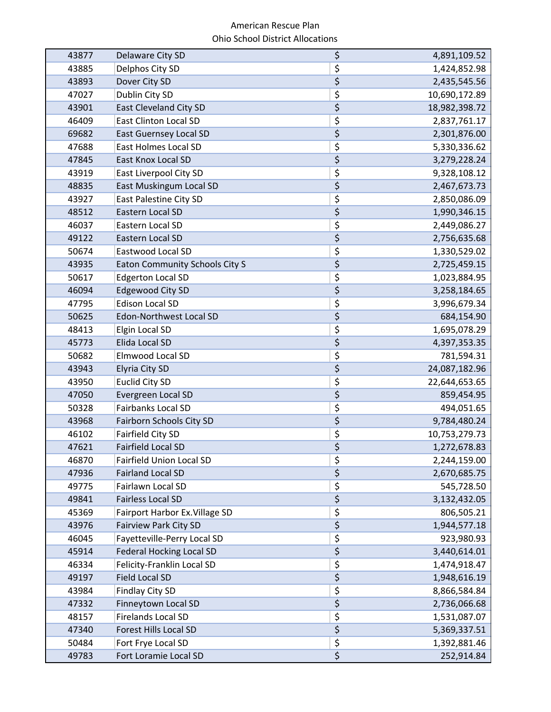| 43877 | Delaware City SD                      | \$                             | 4,891,109.52  |
|-------|---------------------------------------|--------------------------------|---------------|
| 43885 | Delphos City SD                       | \$                             | 1,424,852.98  |
| 43893 | Dover City SD                         | \$                             | 2,435,545.56  |
| 47027 | Dublin City SD                        | \$                             | 10,690,172.89 |
| 43901 | <b>East Cleveland City SD</b>         | \$                             | 18,982,398.72 |
| 46409 | <b>East Clinton Local SD</b>          | \$                             | 2,837,761.17  |
| 69682 | <b>East Guernsey Local SD</b>         | $\overline{\xi}$               | 2,301,876.00  |
| 47688 | <b>East Holmes Local SD</b>           | $\overline{\xi}$               | 5,330,336.62  |
| 47845 | East Knox Local SD                    | $\overline{\xi}$               | 3,279,228.24  |
| 43919 | East Liverpool City SD                | \$                             | 9,328,108.12  |
| 48835 | East Muskingum Local SD               | \$                             | 2,467,673.73  |
| 43927 | East Palestine City SD                | \$                             | 2,850,086.09  |
| 48512 | Eastern Local SD                      | \$                             | 1,990,346.15  |
| 46037 | Eastern Local SD                      | \$                             | 2,449,086.27  |
| 49122 | Eastern Local SD                      | \$                             | 2,756,635.68  |
| 50674 | Eastwood Local SD                     | \$                             | 1,330,529.02  |
| 43935 | <b>Eaton Community Schools City S</b> | \$                             | 2,725,459.15  |
| 50617 | <b>Edgerton Local SD</b>              | \$                             | 1,023,884.95  |
| 46094 | <b>Edgewood City SD</b>               | $\overline{\xi}$               | 3,258,184.65  |
| 47795 | <b>Edison Local SD</b>                | \$                             | 3,996,679.34  |
| 50625 | <b>Edon-Northwest Local SD</b>        | $\overline{\xi}$               | 684,154.90    |
| 48413 | Elgin Local SD                        | \$                             | 1,695,078.29  |
| 45773 | Elida Local SD                        | \$                             | 4,397,353.35  |
| 50682 | Elmwood Local SD                      | \$                             | 781,594.31    |
| 43943 | Elyria City SD                        | \$                             | 24,087,182.96 |
| 43950 | <b>Euclid City SD</b>                 | \$                             | 22,644,653.65 |
| 47050 | Evergreen Local SD                    | $\overline{\xi}$               | 859,454.95    |
| 50328 | <b>Fairbanks Local SD</b>             | \$                             | 494,051.65    |
| 43968 | <b>Fairborn Schools City SD</b>       | \$                             | 9,784,480.24  |
| 46102 | Fairfield City SD                     | \$                             | 10,753,279.73 |
| 47621 | <b>Fairfield Local SD</b>             | \$                             | 1,272,678.83  |
| 46870 | <b>Fairfield Union Local SD</b>       | \$                             | 2,244,159.00  |
| 47936 | <b>Fairland Local SD</b>              | $\overline{\xi}$               | 2,670,685.75  |
| 49775 | Fairlawn Local SD                     | \$                             | 545,728.50    |
| 49841 | <b>Fairless Local SD</b>              | $\overline{\xi}$               | 3,132,432.05  |
| 45369 | Fairport Harbor Ex. Village SD        | \$                             | 806,505.21    |
| 43976 | <b>Fairview Park City SD</b>          | $\boldsymbol{\dot{\varsigma}}$ | 1,944,577.18  |
| 46045 | Fayetteville-Perry Local SD           | \$                             | 923,980.93    |
| 45914 | <b>Federal Hocking Local SD</b>       | $\overline{\xi}$               | 3,440,614.01  |
| 46334 | Felicity-Franklin Local SD            | $\overline{\xi}$               | 1,474,918.47  |
| 49197 | <b>Field Local SD</b>                 | $\overline{\xi}$               | 1,948,616.19  |
| 43984 | <b>Findlay City SD</b>                | \$                             | 8,866,584.84  |
| 47332 | Finneytown Local SD                   | \$                             | 2,736,066.68  |
| 48157 | <b>Firelands Local SD</b>             | \$                             | 1,531,087.07  |
| 47340 | Forest Hills Local SD                 | \$                             | 5,369,337.51  |
| 50484 | Fort Frye Local SD                    | \$                             | 1,392,881.46  |
| 49783 | Fort Loramie Local SD                 | \$                             | 252,914.84    |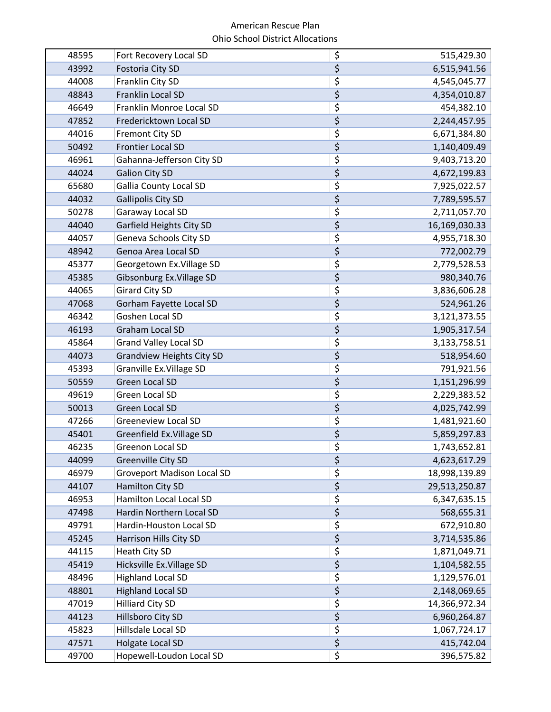| 48595 | Fort Recovery Local SD            | \$                                  | 515,429.30    |
|-------|-----------------------------------|-------------------------------------|---------------|
| 43992 | Fostoria City SD                  | $\overline{\xi}$                    | 6,515,941.56  |
| 44008 | Franklin City SD                  | \$                                  | 4,545,045.77  |
| 48843 | Franklin Local SD                 | \$                                  | 4,354,010.87  |
| 46649 | Franklin Monroe Local SD          | \$                                  | 454,382.10    |
| 47852 | Fredericktown Local SD            | \$                                  | 2,244,457.95  |
| 44016 | <b>Fremont City SD</b>            | \$                                  | 6,671,384.80  |
| 50492 | <b>Frontier Local SD</b>          | \$                                  | 1,140,409.49  |
| 46961 | Gahanna-Jefferson City SD         | \$                                  | 9,403,713.20  |
| 44024 | <b>Galion City SD</b>             | \$                                  | 4,672,199.83  |
| 65680 | Gallia County Local SD            | \$                                  | 7,925,022.57  |
| 44032 | <b>Gallipolis City SD</b>         | $\overline{\xi}$                    | 7,789,595.57  |
| 50278 | Garaway Local SD                  | \$                                  | 2,711,057.70  |
| 44040 | Garfield Heights City SD          | \$                                  | 16,169,030.33 |
| 44057 | Geneva Schools City SD            | \$                                  | 4,955,718.30  |
| 48942 | Genoa Area Local SD               | $\overline{\xi}$                    | 772,002.79    |
| 45377 | Georgetown Ex. Village SD         | \$                                  | 2,779,528.53  |
| 45385 | Gibsonburg Ex. Village SD         | \$                                  | 980,340.76    |
| 44065 | <b>Girard City SD</b>             | \$                                  | 3,836,606.28  |
| 47068 | Gorham Fayette Local SD           | \$                                  | 524,961.26    |
| 46342 | Goshen Local SD                   | \$                                  | 3,121,373.55  |
| 46193 | Graham Local SD                   | \$                                  | 1,905,317.54  |
| 45864 | <b>Grand Valley Local SD</b>      | \$                                  | 3,133,758.51  |
| 44073 | <b>Grandview Heights City SD</b>  | \$                                  | 518,954.60    |
| 45393 | Granville Ex. Village SD          | \$                                  | 791,921.56    |
| 50559 | <b>Green Local SD</b>             | \$                                  | 1,151,296.99  |
| 49619 | Green Local SD                    | \$                                  | 2,229,383.52  |
| 50013 | <b>Green Local SD</b>             | \$                                  | 4,025,742.99  |
| 47266 | <b>Greeneview Local SD</b>        | \$                                  | 1,481,921.60  |
| 45401 | Greenfield Ex. Village SD         | \$                                  | 5,859,297.83  |
| 46235 | <b>Greenon Local SD</b>           | \$                                  | 1,743,652.81  |
| 44099 | Greenville City SD                | \$                                  | 4,623,617.29  |
| 46979 | <b>Groveport Madison Local SD</b> | $\overline{\xi}$                    | 18,998,139.89 |
| 44107 | Hamilton City SD                  | $\overline{\varsigma}$              | 29,513,250.87 |
| 46953 | Hamilton Local Local SD           | $\overline{\boldsymbol{\zeta}}$     | 6,347,635.15  |
| 47498 | Hardin Northern Local SD          | $\overline{\boldsymbol{\varsigma}}$ | 568,655.31    |
| 49791 | Hardin-Houston Local SD           | \$                                  | 672,910.80    |
| 45245 | Harrison Hills City SD            | $\overline{\xi}$                    | 3,714,535.86  |
| 44115 | Heath City SD                     | \$                                  | 1,871,049.71  |
| 45419 | Hicksville Ex. Village SD         | $\overline{\xi}$                    | 1,104,582.55  |
| 48496 | <b>Highland Local SD</b>          | $\overline{\boldsymbol{\varsigma}}$ | 1,129,576.01  |
| 48801 | <b>Highland Local SD</b>          | $\overline{\xi}$                    | 2,148,069.65  |
| 47019 | <b>Hilliard City SD</b>           | \$                                  | 14,366,972.34 |
| 44123 | Hillsboro City SD                 | $\boldsymbol{\zeta}$                | 6,960,264.87  |
| 45823 | Hillsdale Local SD                | \$                                  | 1,067,724.17  |
| 47571 | Holgate Local SD                  | $\overline{\xi}$                    | 415,742.04    |
| 49700 | Hopewell-Loudon Local SD          | \$                                  | 396,575.82    |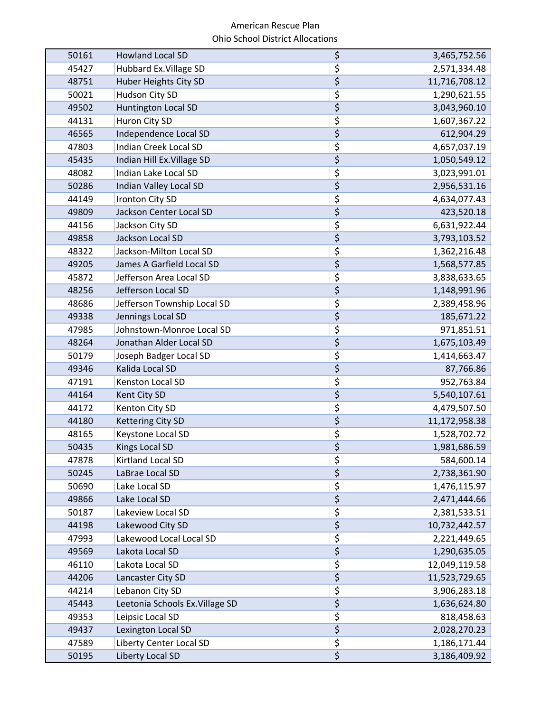| 50161 | <b>Howland Local SD</b>         | \$<br>3,465,752.56  |
|-------|---------------------------------|---------------------|
| 45427 | Hubbard Ex. Village SD          | \$<br>2,571,334.48  |
| 48751 | Huber Heights City SD           | \$<br>11,716,708.12 |
| 50021 | Hudson City SD                  | \$<br>1,290,621.55  |
| 49502 | <b>Huntington Local SD</b>      | \$<br>3,043,960.10  |
| 44131 | Huron City SD                   | \$<br>1,607,367.22  |
| 46565 | Independence Local SD           | \$<br>612,904.29    |
| 47803 | <b>Indian Creek Local SD</b>    | \$<br>4,657,037.19  |
| 45435 | Indian Hill Ex. Village SD      | \$<br>1,050,549.12  |
| 48082 | Indian Lake Local SD            | \$<br>3,023,991.01  |
| 50286 | Indian Valley Local SD          | \$<br>2,956,531.16  |
| 44149 | Ironton City SD                 | \$<br>4,634,077.43  |
| 49809 | Jackson Center Local SD         | \$<br>423,520.18    |
| 44156 | Jackson City SD                 | \$<br>6,631,922.44  |
| 49858 | Jackson Local SD                | \$<br>3,793,103.52  |
| 48322 | Jackson-Milton Local SD         | \$<br>1,362,216.48  |
| 49205 | James A Garfield Local SD       | \$<br>1,568,577.85  |
| 45872 | Jefferson Area Local SD         | \$<br>3,838,633.65  |
| 48256 | Jefferson Local SD              | \$<br>1,148,991.96  |
| 48686 | Jefferson Township Local SD     | \$<br>2,389,458.96  |
| 49338 | Jennings Local SD               | \$<br>185,671.22    |
| 47985 | Johnstown-Monroe Local SD       | \$<br>971,851.51    |
| 48264 | Jonathan Alder Local SD         | \$<br>1,675,103.49  |
| 50179 | Joseph Badger Local SD          | \$<br>1,414,663.47  |
| 49346 | Kalida Local SD                 | \$<br>87,766.86     |
| 47191 | Kenston Local SD                | \$<br>952,763.84    |
| 44164 | Kent City SD                    | \$<br>5,540,107.61  |
| 44172 | Kenton City SD                  | \$<br>4,479,507.50  |
| 44180 | <b>Kettering City SD</b>        | \$<br>11,172,958.38 |
| 48165 | Keystone Local SD               | \$<br>1,528,702.72  |
| 50435 | <b>Kings Local SD</b>           | \$<br>1,981,686.59  |
| 47878 | Kirtland Local SD               | \$<br>584,600.14    |
| 50245 | LaBrae Local SD                 | \$<br>2,738,361.90  |
| 50690 | Lake Local SD                   | \$<br>1,476,115.97  |
| 49866 | Lake Local SD                   | \$<br>2,471,444.66  |
| 50187 | Lakeview Local SD               | \$<br>2,381,533.51  |
| 44198 | Lakewood City SD                | \$<br>10,732,442.57 |
| 47993 | Lakewood Local Local SD         | \$<br>2,221,449.65  |
| 49569 | Lakota Local SD                 | \$<br>1,290,635.05  |
| 46110 | Lakota Local SD                 | \$<br>12,049,119.58 |
| 44206 | Lancaster City SD               | \$<br>11,523,729.65 |
| 44214 | Lebanon City SD                 | \$<br>3,906,283.18  |
| 45443 | Leetonia Schools Ex. Village SD | \$<br>1,636,624.80  |
| 49353 | Leipsic Local SD                | \$<br>818,458.63    |
| 49437 | Lexington Local SD              | \$<br>2,028,270.23  |
| 47589 | Liberty Center Local SD         | \$<br>1,186,171.44  |
| 50195 | Liberty Local SD                | \$<br>3,186,409.92  |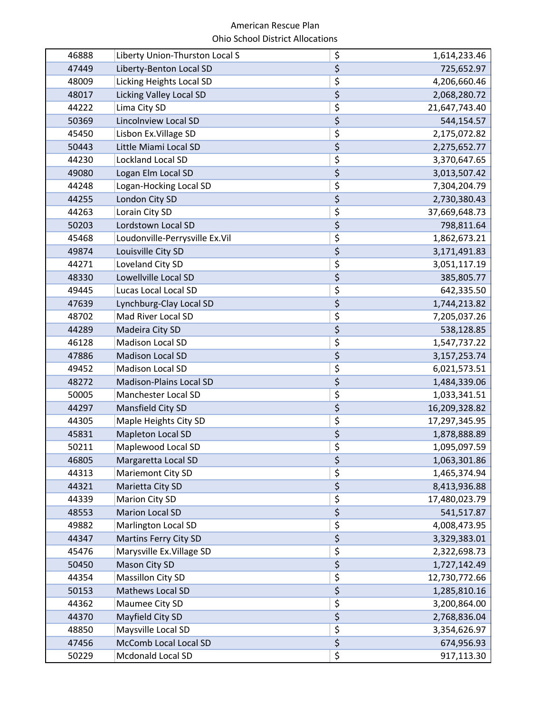| 46888 | Liberty Union-Thurston Local S | \$                                  | 1,614,233.46    |
|-------|--------------------------------|-------------------------------------|-----------------|
| 47449 | Liberty-Benton Local SD        | $\overline{\xi}$                    | 725,652.97      |
| 48009 | Licking Heights Local SD       | \$                                  | 4,206,660.46    |
| 48017 | <b>Licking Valley Local SD</b> | \$                                  | 2,068,280.72    |
| 44222 | Lima City SD                   | \$                                  | 21,647,743.40   |
| 50369 | <b>Lincolnview Local SD</b>    | \$                                  | 544,154.57      |
| 45450 | Lisbon Ex. Village SD          | \$                                  | 2,175,072.82    |
| 50443 | Little Miami Local SD          | \$                                  | 2,275,652.77    |
| 44230 | Lockland Local SD              | \$                                  | 3,370,647.65    |
| 49080 | Logan Elm Local SD             | \$                                  | 3,013,507.42    |
| 44248 | Logan-Hocking Local SD         | \$                                  | 7,304,204.79    |
| 44255 | London City SD                 | $\overline{\xi}$                    | 2,730,380.43    |
| 44263 | Lorain City SD                 | \$                                  | 37,669,648.73   |
| 50203 | Lordstown Local SD             | \$                                  | 798,811.64      |
| 45468 | Loudonville-Perrysville Ex.Vil | \$                                  | 1,862,673.21    |
| 49874 | Louisville City SD             | $\overline{\xi}$                    | 3,171,491.83    |
| 44271 | Loveland City SD               | \$                                  | 3,051,117.19    |
| 48330 | Lowellville Local SD           | \$                                  | 385,805.77      |
| 49445 | Lucas Local Local SD           | \$                                  | 642,335.50      |
| 47639 | Lynchburg-Clay Local SD        | \$                                  | 1,744,213.82    |
| 48702 | Mad River Local SD             | \$                                  | 7,205,037.26    |
| 44289 | Madeira City SD                | \$                                  | 538,128.85      |
| 46128 | Madison Local SD               | \$                                  | 1,547,737.22    |
| 47886 | <b>Madison Local SD</b>        | \$                                  | 3, 157, 253. 74 |
| 49452 | Madison Local SD               | \$                                  | 6,021,573.51    |
| 48272 | <b>Madison-Plains Local SD</b> | \$                                  | 1,484,339.06    |
| 50005 | Manchester Local SD            | \$                                  | 1,033,341.51    |
| 44297 | Mansfield City SD              | \$                                  | 16,209,328.82   |
| 44305 | Maple Heights City SD          | \$                                  | 17,297,345.95   |
| 45831 | <b>Mapleton Local SD</b>       | \$                                  | 1,878,888.89    |
| 50211 | Maplewood Local SD             | \$                                  | 1,095,097.59    |
| 46805 | Margaretta Local SD            | \$                                  | 1,063,301.86    |
| 44313 | Mariemont City SD              | $\overline{\xi}$                    | 1,465,374.94    |
| 44321 | Marietta City SD               | $\overline{\varsigma}$              | 8,413,936.88    |
| 44339 | Marion City SD                 | $\overline{\boldsymbol{\zeta}}$     | 17,480,023.79   |
| 48553 | Marion Local SD                | $\overline{\boldsymbol{\varsigma}}$ | 541,517.87      |
| 49882 | <b>Marlington Local SD</b>     | \$                                  | 4,008,473.95    |
| 44347 | Martins Ferry City SD          | $\overline{\xi}$                    | 3,329,383.01    |
| 45476 | Marysville Ex. Village SD      | \$                                  | 2,322,698.73    |
| 50450 | Mason City SD                  | $\overline{\xi}$                    | 1,727,142.49    |
| 44354 | <b>Massillon City SD</b>       | $\overline{\boldsymbol{\varsigma}}$ | 12,730,772.66   |
| 50153 | Mathews Local SD               | $\overline{\xi}$                    | 1,285,810.16    |
| 44362 | Maumee City SD                 | \$                                  | 3,200,864.00    |
| 44370 | Mayfield City SD               | $\boldsymbol{\dot{\varsigma}}$      | 2,768,836.04    |
| 48850 | Maysville Local SD             | \$                                  | 3,354,626.97    |
| 47456 | McComb Local Local SD          | $\overline{\xi}$                    | 674,956.93      |
| 50229 | Mcdonald Local SD              | \$                                  | 917,113.30      |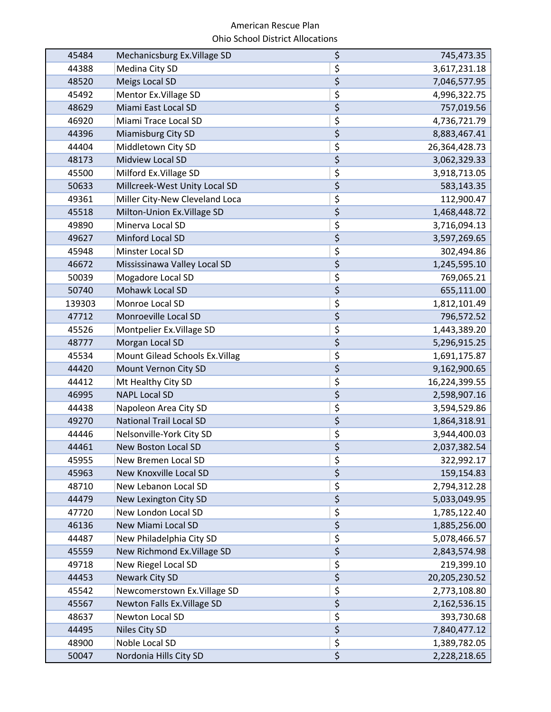| 45484  | Mechanicsburg Ex. Village SD    | \$                                  | 745,473.35    |
|--------|---------------------------------|-------------------------------------|---------------|
| 44388  | Medina City SD                  | \$                                  | 3,617,231.18  |
| 48520  | Meigs Local SD                  | \$                                  | 7,046,577.95  |
| 45492  | Mentor Ex. Village SD           | \$                                  | 4,996,322.75  |
| 48629  | Miami East Local SD             | \$                                  | 757,019.56    |
| 46920  | Miami Trace Local SD            | \$                                  | 4,736,721.79  |
| 44396  | Miamisburg City SD              | $\overline{\xi}$                    | 8,883,467.41  |
| 44404  | Middletown City SD              | \$                                  | 26,364,428.73 |
| 48173  | Midview Local SD                | \$                                  | 3,062,329.33  |
| 45500  | Milford Ex. Village SD          | \$                                  | 3,918,713.05  |
| 50633  | Millcreek-West Unity Local SD   | \$                                  | 583,143.35    |
| 49361  | Miller City-New Cleveland Loca  | \$                                  | 112,900.47    |
| 45518  | Milton-Union Ex. Village SD     | \$                                  | 1,468,448.72  |
| 49890  | Minerva Local SD                | \$                                  | 3,716,094.13  |
| 49627  | Minford Local SD                | \$                                  | 3,597,269.65  |
| 45948  | Minster Local SD                | \$                                  | 302,494.86    |
| 46672  | Mississinawa Valley Local SD    | \$                                  | 1,245,595.10  |
| 50039  | Mogadore Local SD               | \$                                  | 769,065.21    |
| 50740  | Mohawk Local SD                 | $\overline{\varsigma}$              | 655,111.00    |
| 139303 | Monroe Local SD                 | \$                                  | 1,812,101.49  |
| 47712  | Monroeville Local SD            | $\overline{\xi}$                    | 796,572.52    |
| 45526  | Montpelier Ex. Village SD       | \$                                  | 1,443,389.20  |
| 48777  | Morgan Local SD                 | \$                                  | 5,296,915.25  |
| 45534  | Mount Gilead Schools Ex. Villag | \$                                  | 1,691,175.87  |
| 44420  | Mount Vernon City SD            | \$                                  | 9,162,900.65  |
| 44412  | Mt Healthy City SD              | \$                                  | 16,224,399.55 |
| 46995  | <b>NAPL Local SD</b>            | \$                                  | 2,598,907.16  |
| 44438  | Napoleon Area City SD           | \$                                  | 3,594,529.86  |
| 49270  | <b>National Trail Local SD</b>  | \$                                  | 1,864,318.91  |
| 44446  | Nelsonville-York City SD        | \$                                  | 3,944,400.03  |
| 44461  | <b>New Boston Local SD</b>      | \$                                  | 2,037,382.54  |
| 45955  | New Bremen Local SD             | \$                                  | 322,992.17    |
| 45963  | New Knoxville Local SD          | $\overline{\xi}$                    | 159,154.83    |
| 48710  | New Lebanon Local SD            | \$                                  | 2,794,312.28  |
| 44479  | New Lexington City SD           | \$                                  | 5,033,049.95  |
| 47720  | New London Local SD             | \$                                  | 1,785,122.40  |
| 46136  | <b>New Miami Local SD</b>       | $\overline{\xi}$                    | 1,885,256.00  |
| 44487  | New Philadelphia City SD        | \$                                  | 5,078,466.57  |
| 45559  | New Richmond Ex. Village SD     | \$                                  | 2,843,574.98  |
| 49718  | New Riegel Local SD             | \$                                  | 219,399.10    |
| 44453  | Newark City SD                  | \$                                  | 20,205,230.52 |
| 45542  | Newcomerstown Ex. Village SD    | \$                                  | 2,773,108.80  |
| 45567  | Newton Falls Ex. Village SD     | \$                                  | 2,162,536.15  |
| 48637  | Newton Local SD                 | $\overline{\boldsymbol{\varsigma}}$ | 393,730.68    |
| 44495  | Niles City SD                   | $\overline{\xi}$                    | 7,840,477.12  |
| 48900  | Noble Local SD                  | \$                                  | 1,389,782.05  |
| 50047  | Nordonia Hills City SD          | \$                                  | 2,228,218.65  |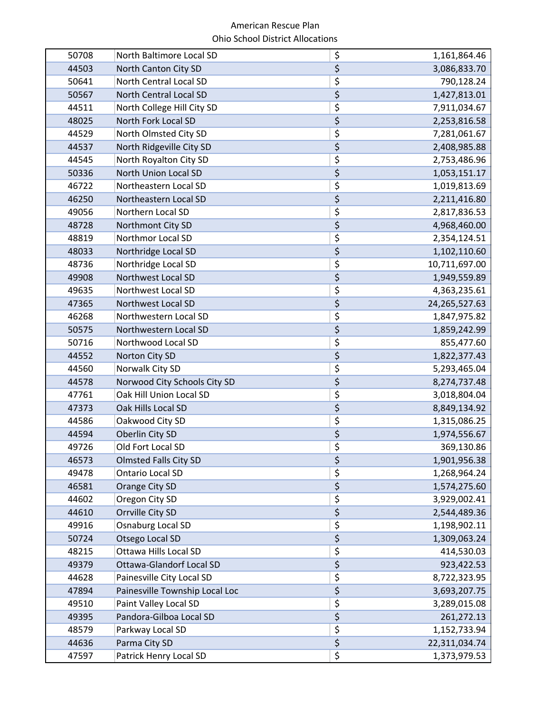| 50708 | North Baltimore Local SD        | \$                                  | 1,161,864.46  |
|-------|---------------------------------|-------------------------------------|---------------|
| 44503 | North Canton City SD            | $\overline{\xi}$                    | 3,086,833.70  |
| 50641 | North Central Local SD          | \$                                  | 790,128.24    |
| 50567 | North Central Local SD          | \$                                  | 1,427,813.01  |
| 44511 | North College Hill City SD      | \$                                  | 7,911,034.67  |
| 48025 | North Fork Local SD             | \$                                  | 2,253,816.58  |
| 44529 | North Olmsted City SD           | \$                                  | 7,281,061.67  |
| 44537 | North Ridgeville City SD        | \$                                  | 2,408,985.88  |
| 44545 | North Royalton City SD          | \$                                  | 2,753,486.96  |
| 50336 | North Union Local SD            | \$                                  | 1,053,151.17  |
| 46722 | Northeastern Local SD           | \$                                  | 1,019,813.69  |
| 46250 | Northeastern Local SD           | $\overline{\xi}$                    | 2,211,416.80  |
| 49056 | Northern Local SD               | \$                                  | 2,817,836.53  |
| 48728 | Northmont City SD               | \$                                  | 4,968,460.00  |
| 48819 | Northmor Local SD               | \$                                  | 2,354,124.51  |
| 48033 | Northridge Local SD             | $\overline{\xi}$                    | 1,102,110.60  |
| 48736 | Northridge Local SD             | \$                                  | 10,711,697.00 |
| 49908 | Northwest Local SD              | \$                                  | 1,949,559.89  |
| 49635 | Northwest Local SD              | \$                                  | 4,363,235.61  |
| 47365 | Northwest Local SD              | \$                                  | 24,265,527.63 |
| 46268 | Northwestern Local SD           | \$                                  | 1,847,975.82  |
| 50575 | Northwestern Local SD           | \$                                  | 1,859,242.99  |
| 50716 | Northwood Local SD              | \$                                  | 855,477.60    |
| 44552 | Norton City SD                  | \$                                  | 1,822,377.43  |
| 44560 | Norwalk City SD                 | \$                                  | 5,293,465.04  |
| 44578 | Norwood City Schools City SD    | \$                                  | 8,274,737.48  |
| 47761 | Oak Hill Union Local SD         | \$                                  | 3,018,804.04  |
| 47373 | Oak Hills Local SD              | \$                                  | 8,849,134.92  |
| 44586 | Oakwood City SD                 | \$                                  | 1,315,086.25  |
| 44594 | Oberlin City SD                 | \$                                  | 1,974,556.67  |
| 49726 | Old Fort Local SD               | \$                                  | 369,130.86    |
| 46573 | <b>Olmsted Falls City SD</b>    | \$                                  | 1,901,956.38  |
| 49478 | Ontario Local SD                | \$                                  | 1,268,964.24  |
| 46581 | Orange City SD                  | $\overline{\varsigma}$              | 1,574,275.60  |
| 44602 | Oregon City SD                  | \$                                  | 3,929,002.41  |
| 44610 | Orrville City SD                | $\overline{\boldsymbol{\varsigma}}$ | 2,544,489.36  |
| 49916 | Osnaburg Local SD               | \$                                  | 1,198,902.11  |
| 50724 | Otsego Local SD                 | $\overline{\xi}$                    | 1,309,063.24  |
| 48215 | Ottawa Hills Local SD           | \$                                  | 414,530.03    |
| 49379 | <b>Ottawa-Glandorf Local SD</b> | $\overline{\xi}$                    | 923,422.53    |
| 44628 | Painesville City Local SD       | \$                                  | 8,722,323.95  |
| 47894 | Painesville Township Local Loc  | $\overline{\xi}$                    | 3,693,207.75  |
| 49510 | Paint Valley Local SD           | \$                                  | 3,289,015.08  |
| 49395 | Pandora-Gilboa Local SD         | $\boldsymbol{\dot{\varsigma}}$      | 261,272.13    |
| 48579 | Parkway Local SD                | \$                                  | 1,152,733.94  |
| 44636 | Parma City SD                   | $\overline{\xi}$                    | 22,311,034.74 |
| 47597 | Patrick Henry Local SD          | \$                                  | 1,373,979.53  |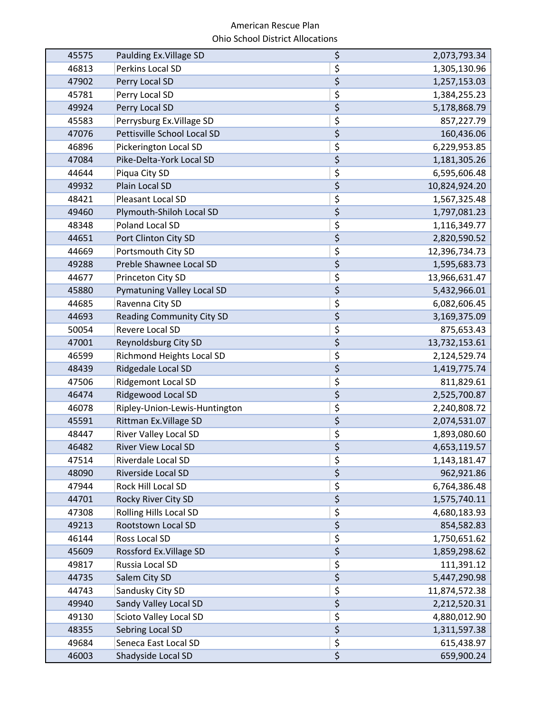| 45575 | Paulding Ex. Village SD           | \$                                  | 2,073,793.34  |
|-------|-----------------------------------|-------------------------------------|---------------|
| 46813 | Perkins Local SD                  | \$                                  | 1,305,130.96  |
| 47902 | Perry Local SD                    | \$                                  | 1,257,153.03  |
| 45781 | Perry Local SD                    | \$                                  | 1,384,255.23  |
| 49924 | Perry Local SD                    | \$                                  | 5,178,868.79  |
| 45583 | Perrysburg Ex. Village SD         | \$                                  | 857,227.79    |
| 47076 | Pettisville School Local SD       | $\overline{\xi}$                    | 160,436.06    |
| 46896 | Pickerington Local SD             | \$                                  | 6,229,953.85  |
| 47084 | Pike-Delta-York Local SD          | \$                                  | 1,181,305.26  |
| 44644 | Piqua City SD                     | \$                                  | 6,595,606.48  |
| 49932 | Plain Local SD                    | \$                                  | 10,824,924.20 |
| 48421 | Pleasant Local SD                 | \$                                  | 1,567,325.48  |
| 49460 | Plymouth-Shiloh Local SD          | \$                                  | 1,797,081.23  |
| 48348 | Poland Local SD                   | \$                                  | 1,116,349.77  |
| 44651 | Port Clinton City SD              | \$                                  | 2,820,590.52  |
| 44669 | Portsmouth City SD                | \$                                  | 12,396,734.73 |
| 49288 | Preble Shawnee Local SD           | \$                                  | 1,595,683.73  |
| 44677 | Princeton City SD                 | \$                                  | 13,966,631.47 |
| 45880 | <b>Pymatuning Valley Local SD</b> | $\overline{\varsigma}$              | 5,432,966.01  |
| 44685 | Ravenna City SD                   | \$                                  | 6,082,606.45  |
| 44693 | <b>Reading Community City SD</b>  | $\overline{\xi}$                    | 3,169,375.09  |
| 50054 | Revere Local SD                   | \$                                  | 875,653.43    |
| 47001 | Reynoldsburg City SD              | \$                                  | 13,732,153.61 |
| 46599 | Richmond Heights Local SD         | \$                                  | 2,124,529.74  |
| 48439 | Ridgedale Local SD                | \$                                  | 1,419,775.74  |
| 47506 | <b>Ridgemont Local SD</b>         | \$                                  | 811,829.61    |
| 46474 | Ridgewood Local SD                | \$                                  | 2,525,700.87  |
| 46078 | Ripley-Union-Lewis-Huntington     | \$                                  | 2,240,808.72  |
| 45591 | Rittman Ex. Village SD            | \$                                  | 2,074,531.07  |
| 48447 | <b>River Valley Local SD</b>      | \$                                  | 1,893,080.60  |
| 46482 | <b>River View Local SD</b>        | \$                                  | 4,653,119.57  |
| 47514 | Riverdale Local SD                | \$                                  | 1,143,181.47  |
| 48090 | Riverside Local SD                | $\overline{\xi}$                    | 962,921.86    |
| 47944 | Rock Hill Local SD                | $\overline{\boldsymbol{\varsigma}}$ | 6,764,386.48  |
| 44701 | Rocky River City SD               | \$                                  | 1,575,740.11  |
| 47308 | <b>Rolling Hills Local SD</b>     | \$                                  | 4,680,183.93  |
| 49213 | Rootstown Local SD                | $\overline{\xi}$                    | 854,582.83    |
| 46144 | Ross Local SD                     | \$                                  | 1,750,651.62  |
| 45609 | Rossford Ex. Village SD           | $\overline{\boldsymbol{\varsigma}}$ | 1,859,298.62  |
| 49817 | Russia Local SD                   | \$                                  | 111,391.12    |
| 44735 | Salem City SD                     | $\overline{\varsigma}$              | 5,447,290.98  |
| 44743 | Sandusky City SD                  | \$                                  | 11,874,572.38 |
| 49940 | Sandy Valley Local SD             | $\overline{\boldsymbol{\varsigma}}$ | 2,212,520.31  |
| 49130 | Scioto Valley Local SD            | $\overline{\boldsymbol{\varsigma}}$ | 4,880,012.90  |
| 48355 | Sebring Local SD                  | $\overline{\xi}$                    | 1,311,597.38  |
| 49684 | Seneca East Local SD              | $\overline{\boldsymbol{\zeta}}$     | 615,438.97    |
| 46003 | Shadyside Local SD                | \$                                  | 659,900.24    |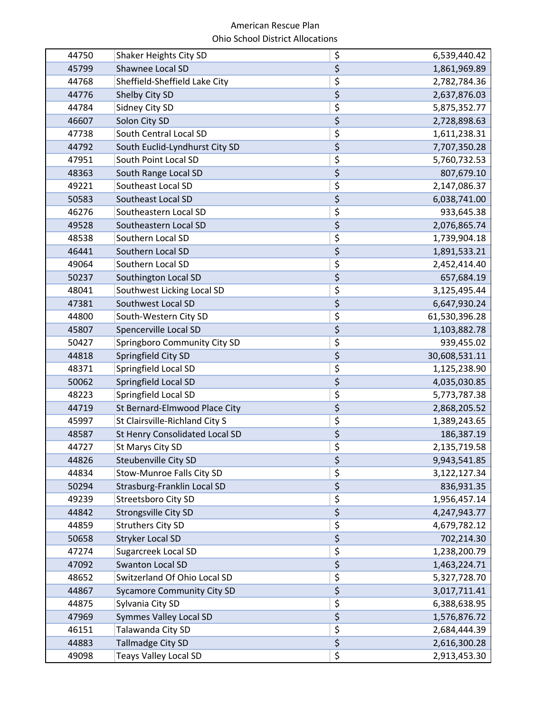| 44750 | Shaker Heights City SD            | \$                              | 6,539,440.42  |
|-------|-----------------------------------|---------------------------------|---------------|
| 45799 | Shawnee Local SD                  | \$                              | 1,861,969.89  |
| 44768 | Sheffield-Sheffield Lake City     | \$                              | 2,782,784.36  |
| 44776 | Shelby City SD                    | \$                              | 2,637,876.03  |
| 44784 | Sidney City SD                    | \$                              | 5,875,352.77  |
| 46607 | Solon City SD                     | \$                              | 2,728,898.63  |
| 47738 | South Central Local SD            | \$                              | 1,611,238.31  |
| 44792 | South Euclid-Lyndhurst City SD    | \$                              | 7,707,350.28  |
| 47951 | South Point Local SD              | \$                              | 5,760,732.53  |
| 48363 | South Range Local SD              | \$                              | 807,679.10    |
| 49221 | Southeast Local SD                | \$                              | 2,147,086.37  |
| 50583 | Southeast Local SD                | \$                              | 6,038,741.00  |
| 46276 | Southeastern Local SD             | \$                              | 933,645.38    |
| 49528 | Southeastern Local SD             | \$                              | 2,076,865.74  |
| 48538 | Southern Local SD                 | \$                              | 1,739,904.18  |
| 46441 | Southern Local SD                 | \$                              | 1,891,533.21  |
| 49064 | Southern Local SD                 | \$                              | 2,452,414.40  |
| 50237 | Southington Local SD              | \$                              | 657,684.19    |
| 48041 | Southwest Licking Local SD        | \$                              | 3,125,495.44  |
| 47381 | Southwest Local SD                | \$                              | 6,647,930.24  |
| 44800 | South-Western City SD             | \$                              | 61,530,396.28 |
| 45807 | Spencerville Local SD             | \$                              | 1,103,882.78  |
| 50427 | Springboro Community City SD      | \$                              | 939,455.02    |
| 44818 | Springfield City SD               | \$                              | 30,608,531.11 |
| 48371 | Springfield Local SD              | \$                              | 1,125,238.90  |
| 50062 | Springfield Local SD              | \$                              | 4,035,030.85  |
| 48223 | Springfield Local SD              | \$                              | 5,773,787.38  |
| 44719 | St Bernard-Elmwood Place City     | \$                              | 2,868,205.52  |
| 45997 | St Clairsville-Richland City S    | \$                              | 1,389,243.65  |
| 48587 | St Henry Consolidated Local SD    | \$                              | 186,387.19    |
| 44727 | St Marys City SD                  | \$                              | 2,135,719.58  |
| 44826 | Steubenville City SD              | \$                              | 9,943,541.85  |
| 44834 | Stow-Munroe Falls City SD         | \$                              | 3,122,127.34  |
| 50294 | Strasburg-Franklin Local SD       | \$                              | 836,931.35    |
| 49239 | Streetsboro City SD               | \$                              | 1,956,457.14  |
| 44842 | <b>Strongsville City SD</b>       | \$                              | 4,247,943.77  |
| 44859 | <b>Struthers City SD</b>          | \$                              | 4,679,782.12  |
| 50658 | <b>Stryker Local SD</b>           | $\overline{\boldsymbol{\zeta}}$ | 702,214.30    |
| 47274 | Sugarcreek Local SD               | \$                              | 1,238,200.79  |
| 47092 | <b>Swanton Local SD</b>           | \$                              | 1,463,224.71  |
| 48652 | Switzerland Of Ohio Local SD      | \$                              | 5,327,728.70  |
| 44867 | <b>Sycamore Community City SD</b> | \$                              | 3,017,711.41  |
| 44875 | Sylvania City SD                  | \$                              | 6,388,638.95  |
| 47969 | <b>Symmes Valley Local SD</b>     | \$                              | 1,576,876.72  |
| 46151 | Talawanda City SD                 | \$                              | 2,684,444.39  |
| 44883 | <b>Tallmadge City SD</b>          | \$                              | 2,616,300.28  |
| 49098 | <b>Teays Valley Local SD</b>      | \$                              | 2,913,453.30  |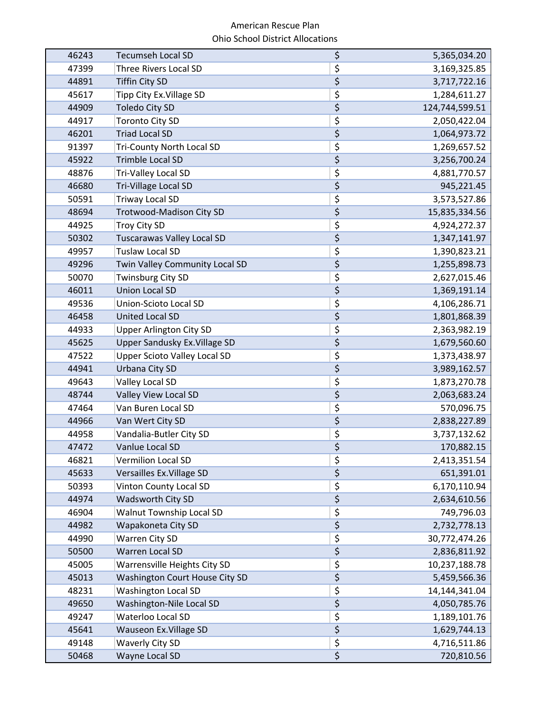| 46243 | <b>Tecumseh Local SD</b>            | \$                                  | 5,365,034.20   |
|-------|-------------------------------------|-------------------------------------|----------------|
| 47399 | <b>Three Rivers Local SD</b>        | \$                                  | 3,169,325.85   |
| 44891 | <b>Tiffin City SD</b>               | \$                                  | 3,717,722.16   |
| 45617 | Tipp City Ex. Village SD            | \$                                  | 1,284,611.27   |
| 44909 | <b>Toledo City SD</b>               | \$                                  | 124,744,599.51 |
| 44917 | <b>Toronto City SD</b>              | \$                                  | 2,050,422.04   |
| 46201 | <b>Triad Local SD</b>               | $\overline{\xi}$                    | 1,064,973.72   |
| 91397 | <b>Tri-County North Local SD</b>    | $\overline{\xi}$                    | 1,269,657.52   |
| 45922 | <b>Trimble Local SD</b>             | \$                                  | 3,256,700.24   |
| 48876 | Tri-Valley Local SD                 | \$                                  | 4,881,770.57   |
| 46680 | Tri-Village Local SD                | \$                                  | 945,221.45     |
| 50591 | <b>Triway Local SD</b>              | \$                                  | 3,573,527.86   |
| 48694 | <b>Trotwood-Madison City SD</b>     | \$                                  | 15,835,334.56  |
| 44925 | <b>Troy City SD</b>                 | \$                                  | 4,924,272.37   |
| 50302 | <b>Tuscarawas Valley Local SD</b>   | \$                                  | 1,347,141.97   |
| 49957 | <b>Tuslaw Local SD</b>              | \$                                  | 1,390,823.21   |
| 49296 | Twin Valley Community Local SD      | \$                                  | 1,255,898.73   |
| 50070 | <b>Twinsburg City SD</b>            | \$                                  | 2,627,015.46   |
| 46011 | <b>Union Local SD</b>               | $\overline{\xi}$                    | 1,369,191.14   |
| 49536 | Union-Scioto Local SD               | \$                                  | 4,106,286.71   |
| 46458 | <b>United Local SD</b>              | $\overline{\xi}$                    | 1,801,868.39   |
| 44933 | <b>Upper Arlington City SD</b>      | \$                                  | 2,363,982.19   |
| 45625 | Upper Sandusky Ex. Village SD       | \$                                  | 1,679,560.60   |
| 47522 | <b>Upper Scioto Valley Local SD</b> | \$                                  | 1,373,438.97   |
| 44941 | Urbana City SD                      | \$                                  | 3,989,162.57   |
| 49643 | Valley Local SD                     | \$                                  | 1,873,270.78   |
| 48744 | Valley View Local SD                | \$                                  | 2,063,683.24   |
| 47464 | Van Buren Local SD                  | $\overline{\boldsymbol{\zeta}}$     | 570,096.75     |
| 44966 | Van Wert City SD                    | \$                                  | 2,838,227.89   |
| 44958 | Vandalia-Butler City SD             | \$                                  | 3,737,132.62   |
| 47472 | Vanlue Local SD                     | \$                                  | 170,882.15     |
| 46821 | <b>Vermilion Local SD</b>           | \$                                  | 2,413,351.54   |
| 45633 | Versailles Ex. Village SD           | $\overline{\xi}$                    | 651,391.01     |
| 50393 | Vinton County Local SD              | \$                                  | 6,170,110.94   |
| 44974 | Wadsworth City SD                   | $\overline{\xi}$                    | 2,634,610.56   |
| 46904 | Walnut Township Local SD            | \$                                  | 749,796.03     |
| 44982 | Wapakoneta City SD                  | $\boldsymbol{\zeta}$                | 2,732,778.13   |
| 44990 | Warren City SD                      | \$                                  | 30,772,474.26  |
| 50500 | Warren Local SD                     | \$                                  | 2,836,811.92   |
| 45005 | Warrensville Heights City SD        | $\overline{\boldsymbol{\varsigma}}$ | 10,237,188.78  |
| 45013 | Washington Court House City SD      | $\overline{\xi}$                    | 5,459,566.36   |
| 48231 | <b>Washington Local SD</b>          | \$                                  | 14,144,341.04  |
| 49650 | Washington-Nile Local SD            | $\overline{\xi}$                    | 4,050,785.76   |
| 49247 | Waterloo Local SD                   | $\overline{\xi}$                    | 1,189,101.76   |
| 45641 | Wauseon Ex. Village SD              | $\overline{\xi}$                    | 1,629,744.13   |
| 49148 | <b>Waverly City SD</b>              | \$                                  | 4,716,511.86   |
| 50468 | Wayne Local SD                      | \$                                  | 720,810.56     |